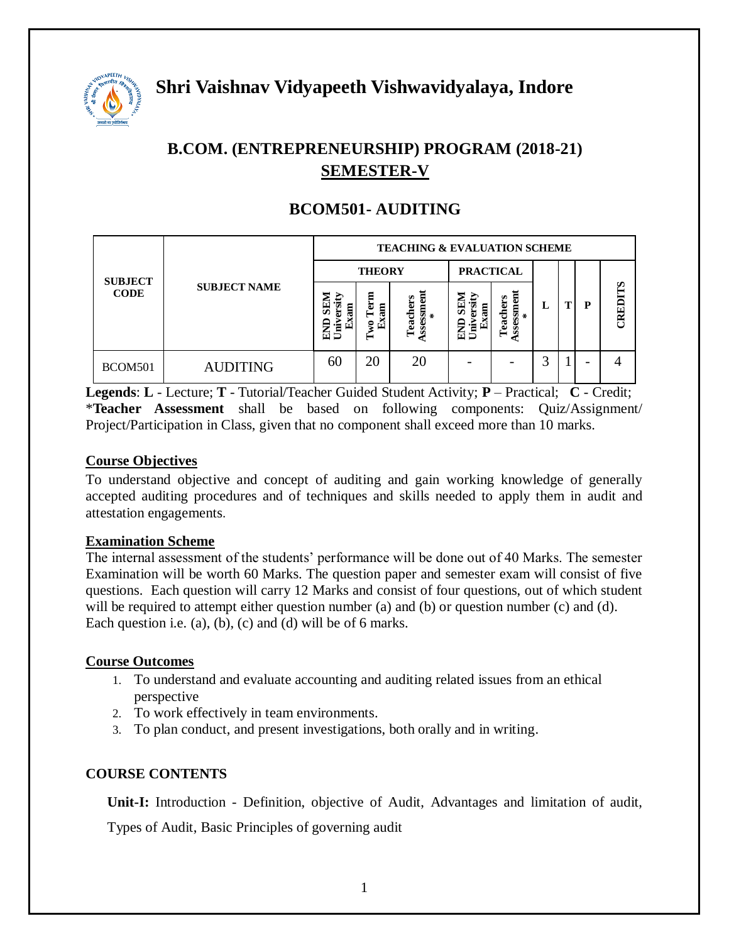

# **B.COM. (ENTREPRENEURSHIP) PROGRAM (2018-21) SEMESTER-V**

| <b>SUBJECT</b><br><b>CODE</b> | <b>SUBJECT NAME</b> | <b>TEACHING &amp; EVALUATION SCHEME</b> |                                  |                                    |                                          |                                |   |  |                          |         |  |
|-------------------------------|---------------------|-----------------------------------------|----------------------------------|------------------------------------|------------------------------------------|--------------------------------|---|--|--------------------------|---------|--|
|                               |                     | <b>THEORY</b>                           |                                  |                                    | <b>PRACTICAL</b>                         |                                |   |  |                          |         |  |
|                               |                     | ₿<br>圍<br>'ਵ<br>5<br>€                  | Ξ<br>ē<br>Ξ<br>æ<br>ዩ<br>Ĺ۳<br>− | ā<br>Teachers<br>ms<br>$\chi$<br>š | 5<br>.۹<br>Ξ<br>ಷ<br>Univ<br>Ş<br>Ė<br>Ξ | ssessmem<br>Teachers<br>$\ast$ | ы |  | P                        | CREDITS |  |
| BCOM501                       | <b>AUDITING</b>     | 60                                      | 20                               | 20                                 |                                          |                                |   |  | $\overline{\phantom{0}}$ |         |  |

# **BCOM501- AUDITING**

**Legends**: **L** - Lecture; **T** - Tutorial/Teacher Guided Student Activity; **P** – Practical; **C** - Credit; \***Teacher Assessment** shall be based on following components: Quiz/Assignment/ Project/Participation in Class, given that no component shall exceed more than 10 marks.

#### **Course Objectives**

To understand objective and concept of auditing and gain working knowledge of generally accepted auditing procedures and of techniques and skills needed to apply them in audit and attestation engagements.

#### **Examination Scheme**

The internal assessment of the students' performance will be done out of 40 Marks. The semester Examination will be worth 60 Marks. The question paper and semester exam will consist of five questions. Each question will carry 12 Marks and consist of four questions, out of which student will be required to attempt either question number (a) and (b) or question number (c) and (d). Each question i.e. (a), (b), (c) and (d) will be of 6 marks.

#### **Course Outcomes**

- 1. To understand and evaluate accounting and auditing related issues from an ethical perspective
- 2. To work effectively in team environments.
- 3. To plan conduct, and present investigations, both orally and in writing.

## **COURSE CONTENTS**

**Unit-I:** Introduction - Definition, objective of Audit, Advantages and limitation of audit, Types of Audit, Basic Principles of governing audit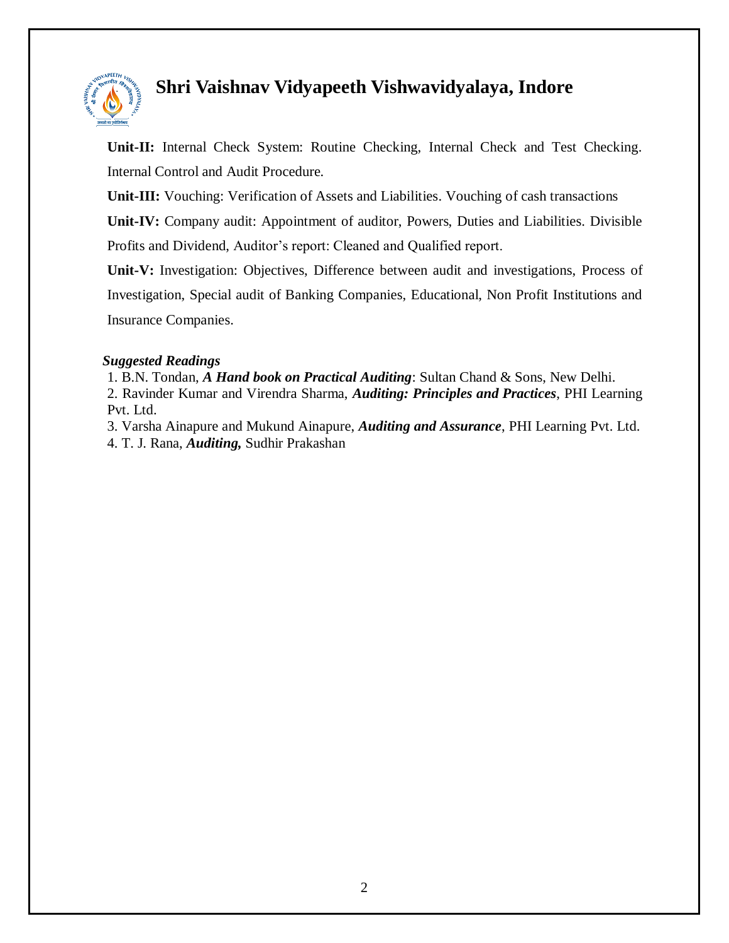

**Unit-II:** Internal Check System: Routine Checking, Internal Check and Test Checking. Internal Control and Audit Procedure.

**Unit-III:** Vouching: Verification of Assets and Liabilities. Vouching of cash transactions

**Unit-IV:** Company audit: Appointment of auditor, Powers, Duties and Liabilities. Divisible Profits and Dividend, Auditor's report: Cleaned and Qualified report.

**Unit-V:** Investigation: Objectives, Difference between audit and investigations, Process of Investigation, Special audit of Banking Companies, Educational, Non Profit Institutions and Insurance Companies.

### *Suggested Readings*

1. B.N. Tondan, *A Hand book on Practical Auditing*: Sultan Chand & Sons, New Delhi. 2. Ravinder Kumar and Virendra Sharma, *Auditing: Principles and Practices*, PHI Learning Pvt. Ltd.

3. Varsha Ainapure and Mukund Ainapure, *Auditing and Assurance*, PHI Learning Pvt. Ltd. 4. T. J. Rana, *Auditing,* Sudhir Prakashan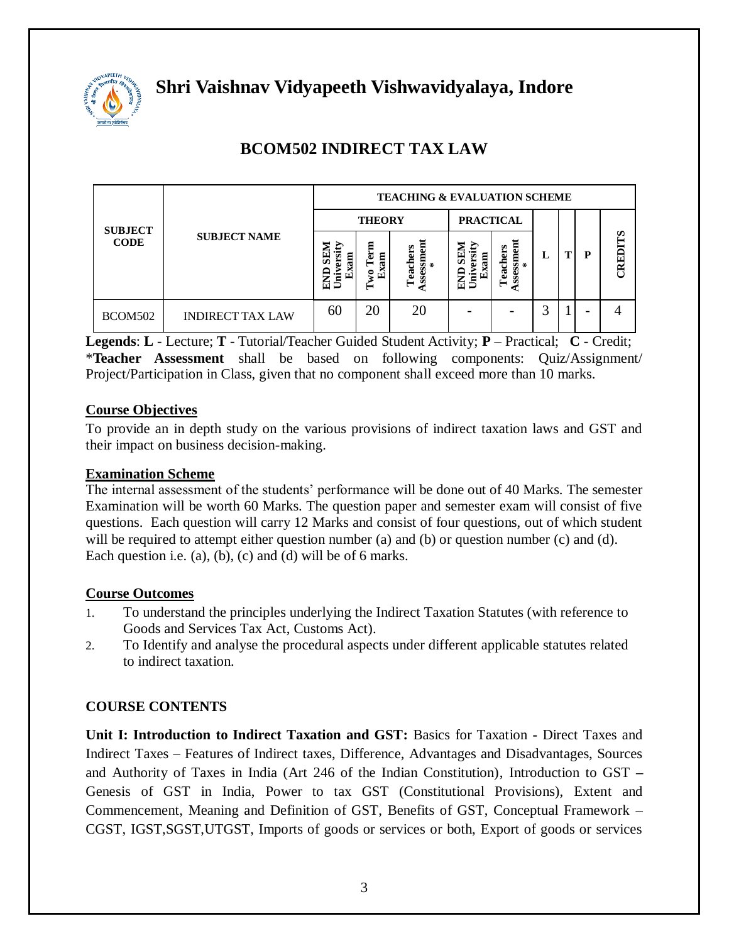

| <b>SUBJECT</b><br><b>CODE</b> |                         | <b>TEACHING &amp; EVALUATION SCHEME</b> |                                |                           |                                            |                             |   |  |   |         |  |
|-------------------------------|-------------------------|-----------------------------------------|--------------------------------|---------------------------|--------------------------------------------|-----------------------------|---|--|---|---------|--|
|                               | <b>SUBJECT NAME</b>     | <b>THEORY</b>                           |                                |                           | <b>PRACTICAL</b>                           |                             |   |  |   |         |  |
|                               |                         | ⋗<br>Б<br>ವ<br>b)<br>ラ<br>臽             | Ξ<br>5<br>គ្ន<br>−<br>g<br>٢÷٦ | Teachers<br>ssm<br>$\chi$ | SEI<br>ы<br>ឱ្យ<br>'∃<br>r÷<br>5<br>둡<br>⋍ | .ssessment<br>*<br>Teachers | L |  | P | CREDITS |  |
| BCOM502                       | <b>INDIRECT TAX LAW</b> | 60                                      | 20                             | 20                        |                                            |                             | ◠ |  |   |         |  |

# **BCOM502 INDIRECT TAX LAW**

**Legends**: **L** - Lecture; **T** - Tutorial/Teacher Guided Student Activity; **P** – Practical; **C** - Credit; \***Teacher Assessment** shall be based on following components: Quiz/Assignment/ Project/Participation in Class, given that no component shall exceed more than 10 marks.

### **Course Objectives**

To provide an in depth study on the various provisions of indirect taxation laws and GST and their impact on business decision-making.

#### **Examination Scheme**

The internal assessment of the students' performance will be done out of 40 Marks. The semester Examination will be worth 60 Marks. The question paper and semester exam will consist of five questions. Each question will carry 12 Marks and consist of four questions, out of which student will be required to attempt either question number (a) and (b) or question number (c) and (d). Each question i.e.  $(a)$ ,  $(b)$ ,  $(c)$  and  $(d)$  will be of 6 marks.

#### **Course Outcomes**

- 1. To understand the principles underlying the Indirect Taxation Statutes (with reference to Goods and Services Tax Act, Customs Act).
- 2. To Identify and analyse the procedural aspects under different applicable statutes related to indirect taxation.

## **COURSE CONTENTS**

**Unit I: Introduction to Indirect Taxation and GST:** Basics for Taxation **-** Direct Taxes and Indirect Taxes – Features of Indirect taxes, Difference, Advantages and Disadvantages, Sources and Authority of Taxes in India (Art 246 of the Indian Constitution), Introduction to GST **–** Genesis of GST in India, Power to tax GST (Constitutional Provisions), Extent and Commencement, Meaning and Definition of GST, Benefits of GST, Conceptual Framework – CGST, IGST,SGST,UTGST, Imports of goods or services or both, Export of goods or services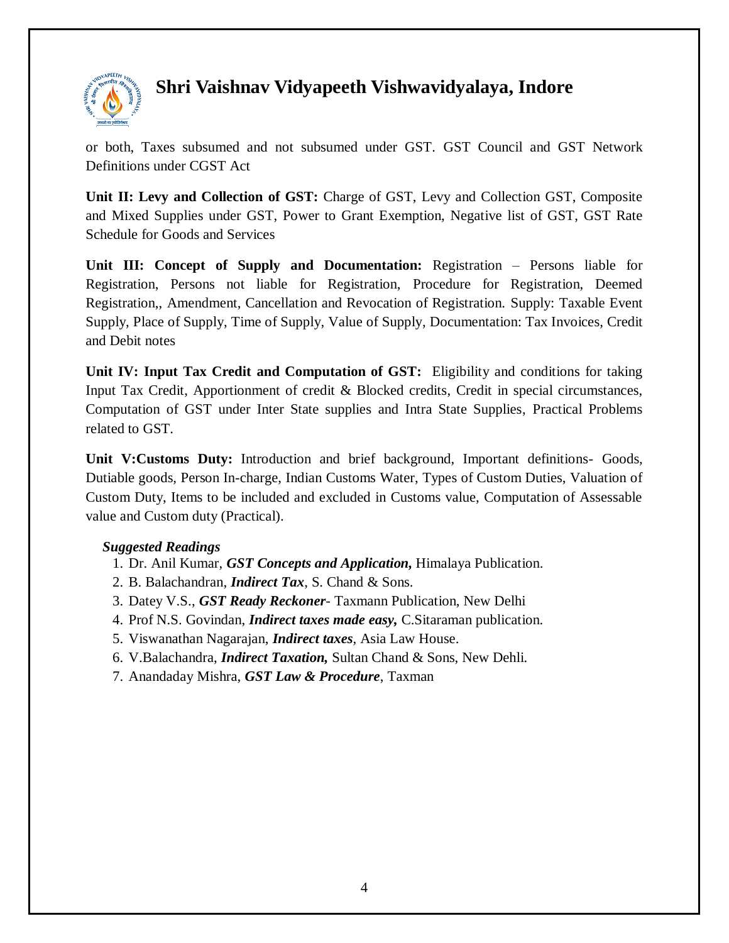

or both, Taxes subsumed and not subsumed under GST. GST Council and GST Network Definitions under CGST Act

**Unit II: Levy and Collection of GST:** Charge of GST, Levy and Collection GST, Composite and Mixed Supplies under GST, Power to Grant Exemption, Negative list of GST, GST Rate Schedule for Goods and Services

**Unit III: Concept of Supply and Documentation:** Registration – Persons liable for Registration, Persons not liable for Registration, Procedure for Registration, Deemed Registration,, Amendment, Cancellation and Revocation of Registration. Supply: Taxable Event Supply, Place of Supply, Time of Supply, Value of Supply, Documentation: Tax Invoices, Credit and Debit notes

**Unit IV: Input Tax Credit and Computation of GST:** Eligibility and conditions for taking Input Tax Credit, Apportionment of credit & Blocked credits, Credit in special circumstances, Computation of GST under Inter State supplies and Intra State Supplies, Practical Problems related to GST.

**Unit V:Customs Duty:** Introduction and brief background, Important definitions- Goods, Dutiable goods, Person In-charge, Indian Customs Water, Types of Custom Duties, Valuation of Custom Duty, Items to be included and excluded in Customs value, Computation of Assessable value and Custom duty (Practical).

#### *Suggested Readings*

- 1. Dr. Anil Kumar, *GST Concepts and Application,* Himalaya Publication.
- 2. B. Balachandran, *Indirect Tax*, S. Chand & Sons.
- 3. Datey V.S., *GST Ready Reckoner* Taxmann Publication, New Delhi
- 4. Prof N.S. Govindan, *Indirect taxes made easy,* C.Sitaraman publication.
- 5. Viswanathan Nagarajan, *Indirect taxes*, Asia Law House.
- 6. V.Balachandra, *Indirect Taxation,* Sultan Chand & Sons, New Dehli.
- 7. Anandaday Mishra, *GST Law & Procedure*, Taxman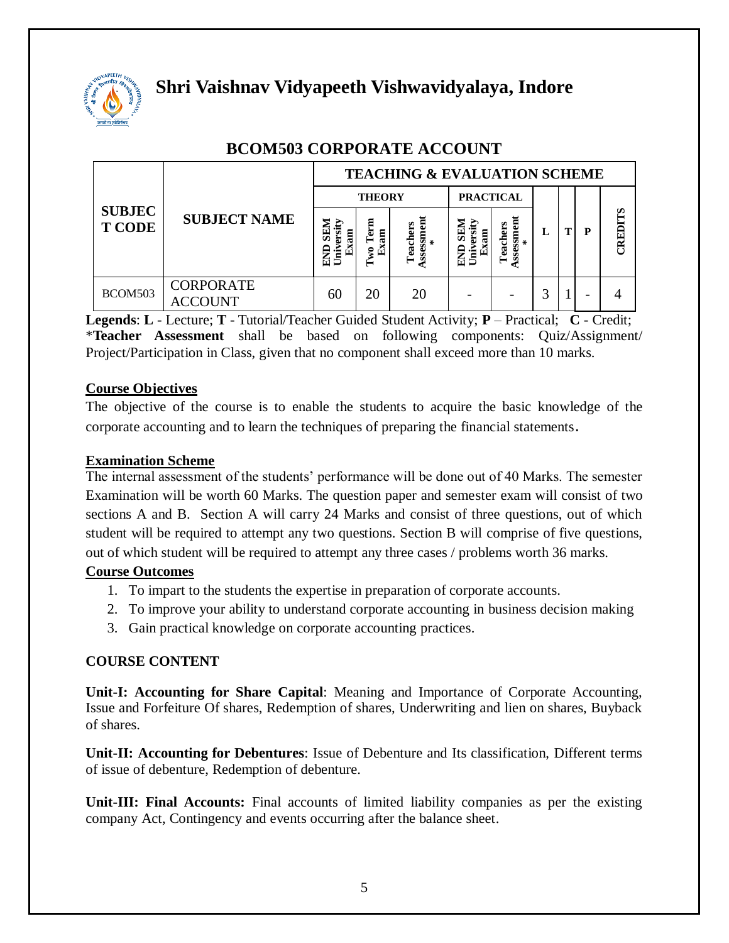

| <b>SUBJEC</b><br><b>T CODE</b> | <b>SUBJECT NAME</b>       | <b>TEACHING &amp; EVALUATION SCHEME</b> |                                    |                 |                                        |                             |   |  |   |         |  |  |
|--------------------------------|---------------------------|-----------------------------------------|------------------------------------|-----------------|----------------------------------------|-----------------------------|---|--|---|---------|--|--|
|                                |                           | <b>THEORY</b>                           |                                    |                 | <b>PRACTICAL</b>                       |                             |   |  |   |         |  |  |
|                                |                           | ត<br>am<br>ಶಾ<br>É<br>5<br>€            | Ξ<br><u>្រុក</u><br>គ្ន<br>g<br>ьJ | Teachers<br>ssm | E<br>Ñ,<br>ದ<br>Ş<br>Έ<br>r÷<br>숩<br>⋍ | Assessment<br>Teachers<br>∗ | L |  | P | CREDITS |  |  |
| BCOM503                        | <b>CORPORATE</b><br>'OUNT | 60                                      | 20                                 | 20              |                                        |                             | ◠ |  | - |         |  |  |

# **BCOM503 CORPORATE ACCOUNT**

**Legends**: **L** - Lecture; **T** - Tutorial/Teacher Guided Student Activity; **P** – Practical; **C** - Credit; \***Teacher Assessment** shall be based on following components: Quiz/Assignment/ Project/Participation in Class, given that no component shall exceed more than 10 marks.

## **Course Objectives**

The objective of the course is to enable the students to acquire the basic knowledge of the corporate accounting and to learn the techniques of preparing the financial statements.

#### **Examination Scheme**

The internal assessment of the students' performance will be done out of 40 Marks. The semester Examination will be worth 60 Marks. The question paper and semester exam will consist of two sections A and B. Section A will carry 24 Marks and consist of three questions, out of which student will be required to attempt any two questions. Section B will comprise of five questions, out of which student will be required to attempt any three cases / problems worth 36 marks.

#### **Course Outcomes**

- 1. To impart to the students the expertise in preparation of corporate accounts.
- 2. To improve your ability to understand corporate accounting in business decision making
- 3. Gain practical knowledge on corporate accounting practices.

## **COURSE CONTENT**

**Unit-I: Accounting for Share Capital**: Meaning and Importance of Corporate Accounting, Issue and Forfeiture Of shares, Redemption of shares, Underwriting and lien on shares, Buyback of shares.

**Unit-II: Accounting for Debentures**: Issue of Debenture and Its classification, Different terms of issue of debenture, Redemption of debenture.

**Unit-III: Final Accounts:** Final accounts of limited liability companies as per the existing company Act, Contingency and events occurring after the balance sheet.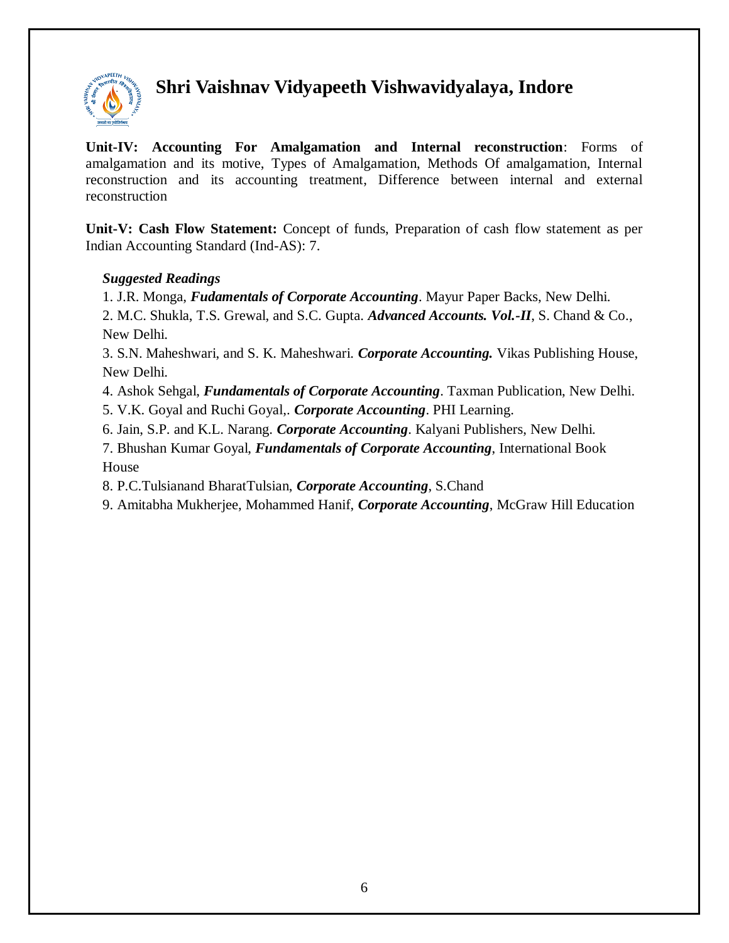

**Unit-IV: Accounting For Amalgamation and Internal reconstruction**: Forms of amalgamation and its motive, Types of Amalgamation, Methods Of amalgamation, Internal reconstruction and its accounting treatment, Difference between internal and external reconstruction

**Unit-V: Cash Flow Statement:** Concept of funds, Preparation of cash flow statement as per Indian Accounting Standard (Ind-AS): 7.

### *Suggested Readings*

1. J.R. Monga, *Fudamentals of Corporate Accounting*. Mayur Paper Backs, New Delhi.

2. M.C. Shukla, T.S. Grewal, and S.C. Gupta. *Advanced Accounts. Vol.-II*, S. Chand & Co., New Delhi.

3. S.N. Maheshwari, and S. K. Maheshwari. *Corporate Accounting.* Vikas Publishing House, New Delhi.

4. Ashok Sehgal, *Fundamentals of Corporate Accounting*. Taxman Publication, New Delhi.

5. V.K. Goyal and Ruchi Goyal,. *Corporate Accounting*. PHI Learning.

6. Jain, S.P. and K.L. Narang. *Corporate Accounting*. Kalyani Publishers, New Delhi.

7. Bhushan Kumar Goyal, *Fundamentals of Corporate Accounting*, International Book House

8. P.C.Tulsianand BharatTulsian, *Corporate Accounting*, S.Chand

9. Amitabha Mukherjee, Mohammed Hanif, *Corporate Accounting*, McGraw Hill Education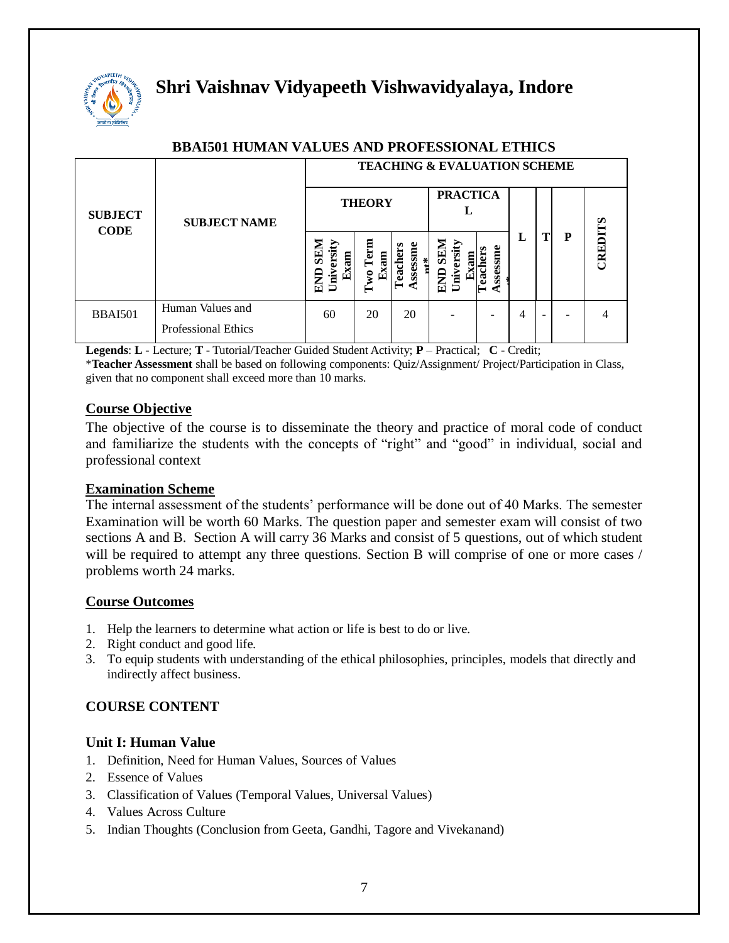

|                               |                                                | <b>TEACHING &amp; EVALUATION SCHEME</b> |                                         |                      |                                                   |                 |   |                          |   |                 |  |  |
|-------------------------------|------------------------------------------------|-----------------------------------------|-----------------------------------------|----------------------|---------------------------------------------------|-----------------|---|--------------------------|---|-----------------|--|--|
| <b>SUBJECT</b><br><b>CODE</b> | <b>SUBJECT NAME</b>                            |                                         | <b>THEORY</b>                           | <b>PRACTICA</b>      |                                                   |                 |   |                          |   |                 |  |  |
|                               |                                                | Б<br>Exam<br>ᢦ<br>$U$ niv<br>₹<br>台     | ēŢ<br>Exam<br>$\boldsymbol{\mathsf{w}}$ | essm<br>*<br>នី<br>Ž | <b>NTRS</b><br>ersity<br>톱<br>Exa<br>Unive<br>END | sessme<br>eddei | L |                          | P | <b>ELIGENTS</b> |  |  |
| <b>BBAI501</b>                | Human Values and<br><b>Professional Ethics</b> | 60                                      | 20                                      | 20                   |                                                   |                 | 4 | $\overline{\phantom{a}}$ |   | 4               |  |  |

#### **BBAI501 HUMAN VALUES AND PROFESSIONAL ETHICS**

**Legends**: **L** - Lecture; **T** - Tutorial/Teacher Guided Student Activity; **P** – Practical; **C** - Credit;

\***Teacher Assessment** shall be based on following components: Quiz/Assignment/ Project/Participation in Class, given that no component shall exceed more than 10 marks.

#### **Course Objective**

The objective of the course is to disseminate the theory and practice of moral code of conduct and familiarize the students with the concepts of "right" and "good" in individual, social and professional context

#### **Examination Scheme**

The internal assessment of the students' performance will be done out of 40 Marks. The semester Examination will be worth 60 Marks. The question paper and semester exam will consist of two sections A and B. Section A will carry 36 Marks and consist of 5 questions, out of which student will be required to attempt any three questions. Section B will comprise of one or more cases / problems worth 24 marks.

#### **Course Outcomes**

- 1. Help the learners to determine what action or life is best to do or live.
- 2. Right conduct and good life.
- 3. To equip students with understanding of the ethical philosophies, principles, models that directly and indirectly affect business.

## **COURSE CONTENT**

#### **Unit I: Human Value**

- 1. Definition, Need for Human Values, Sources of Values
- 2. Essence of Values
- 3. Classification of Values (Temporal Values, Universal Values)
- 4. Values Across Culture
- 5. Indian Thoughts (Conclusion from Geeta, Gandhi, Tagore and Vivekanand)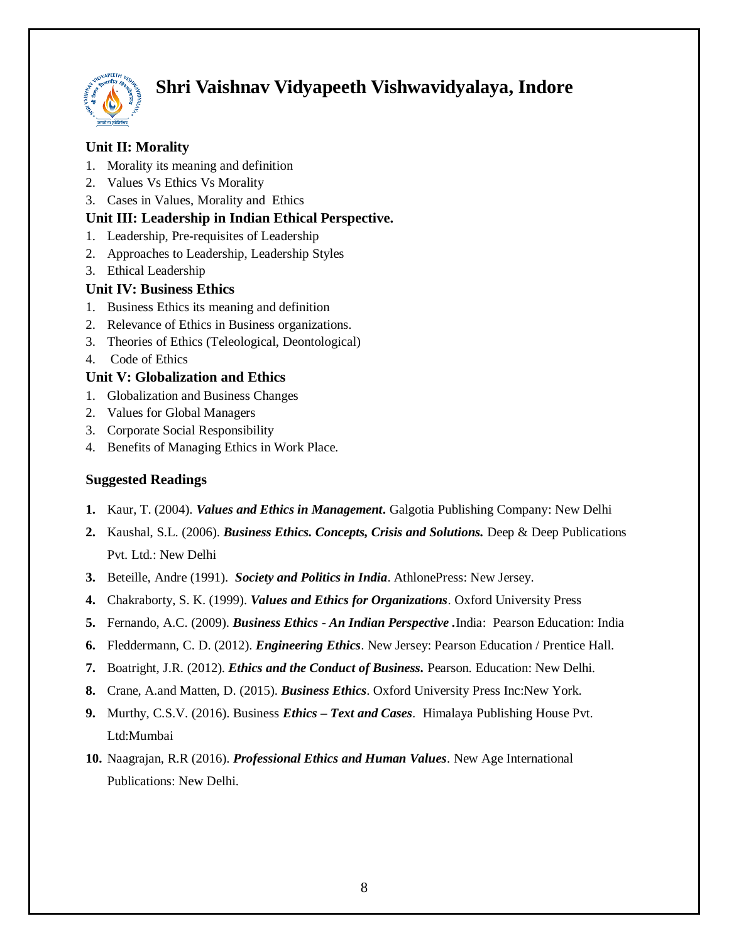

## **Unit II: Morality**

- 1. Morality its meaning and definition
- 2. Values Vs Ethics Vs Morality
- 3. Cases in Values, Morality and Ethics

### **Unit III: Leadership in Indian Ethical Perspective.**

- 1. Leadership, Pre-requisites of Leadership
- 2. Approaches to Leadership, Leadership Styles
- 3. Ethical Leadership

### **Unit IV: Business Ethics**

- 1. Business Ethics its meaning and definition
- 2. Relevance of Ethics in Business organizations.
- 3. Theories of Ethics (Teleological, Deontological)
- 4. Code of Ethics

#### **Unit V: Globalization and Ethics**

- 1. Globalization and Business Changes
- 2. Values for Global Managers
- 3. Corporate Social Responsibility
- 4. Benefits of Managing Ethics in Work Place.

#### **Suggested Readings**

- **1.** Kaur, T. (2004). *Values and Ethics in Management***.** Galgotia Publishing Company: New Delhi
- **2.** Kaushal, S.L. (2006). *Business Ethics. Concepts, Crisis and Solutions.* Deep & Deep Publications Pvt. Ltd.: New Delhi
- **3.** Beteille, Andre (1991). *Society and Politics in India*. AthlonePress: New Jersey.
- **4.** Chakraborty, S. K. (1999). *Values and Ethics for Organizations*. Oxford University Press
- **5.** Fernando, A.C. (2009). *Business Ethics - An Indian Perspective .*India: Pearson Education: India
- **6.** Fleddermann, C. D. (2012). *Engineering Ethics*. New Jersey: Pearson Education / Prentice Hall.
- **7.** Boatright, J.R. (2012). *Ethics and the Conduct of Business.* Pearson. Education: New Delhi.
- **8.** Crane, A.and Matten, D. (2015). *Business Ethics*. Oxford University Press Inc:New York.
- **9.** Murthy, C.S.V. (2016). Business *Ethics – Text and Cases*. Himalaya Publishing House Pvt. Ltd:Mumbai
- **10.** Naagrajan, R.R (2016). *Professional Ethics and Human Values*. New Age International Publications: New Delhi.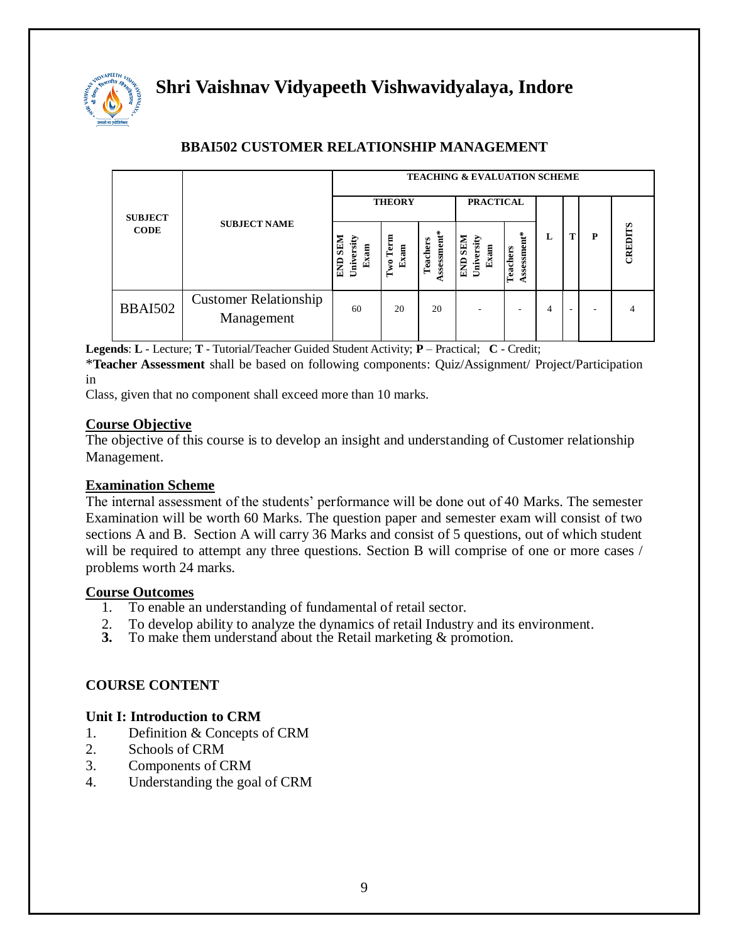

| <b>SUBJECT</b><br><b>CODE</b> |                                            | <b>TEACHING &amp; EVALUATION SCHEME</b>              |                      |                        |                                      |                        |   |  |   |                |  |
|-------------------------------|--------------------------------------------|------------------------------------------------------|----------------------|------------------------|--------------------------------------|------------------------|---|--|---|----------------|--|
|                               | <b>SUBJECT NAME</b>                        | <b>THEORY</b>                                        |                      |                        | <b>PRACTICAL</b>                     |                        |   |  |   |                |  |
|                               |                                            | <b>SEM</b><br>University<br>Exam<br>END <sub>3</sub> | wo Term<br>Exam<br>⊨ | ssessment*<br>Teachers | <b>END SEM</b><br>University<br>Exam | ssessment*<br>Teachers | L |  | P | CREDITS        |  |
| <b>BBAI502</b>                | <b>Customer Relationship</b><br>Management | 60                                                   | 20                   | 20                     |                                      |                        | 4 |  | ۰ | $\overline{4}$ |  |

## **BBAI502 CUSTOMER RELATIONSHIP MANAGEMENT**

**Legends**: **L** - Lecture; **T** - Tutorial/Teacher Guided Student Activity; **P** – Practical; **C** - Credit;

\***Teacher Assessment** shall be based on following components: Quiz/Assignment/ Project/Participation in

Class, given that no component shall exceed more than 10 marks.

#### **Course Objective**

The objective of this course is to develop an insight and understanding of Customer relationship Management.

#### **Examination Scheme**

The internal assessment of the students' performance will be done out of 40 Marks. The semester Examination will be worth 60 Marks. The question paper and semester exam will consist of two sections A and B. Section A will carry 36 Marks and consist of 5 questions, out of which student will be required to attempt any three questions. Section B will comprise of one or more cases / problems worth 24 marks.

#### **Course Outcomes**

- 1. To enable an understanding of fundamental of retail sector.
- 2. To develop ability to analyze the dynamics of retail Industry and its environment.<br>3. To make them understand about the Retail marketing  $\&$  promotion.
- **3.** To make them understand about the Retail marketing & promotion.

#### **COURSE CONTENT**

#### **Unit I: Introduction to CRM**

- 1. Definition & Concepts of CRM
- 2. Schools of CRM
- 3. Components of CRM
- 4. Understanding the goal of CRM